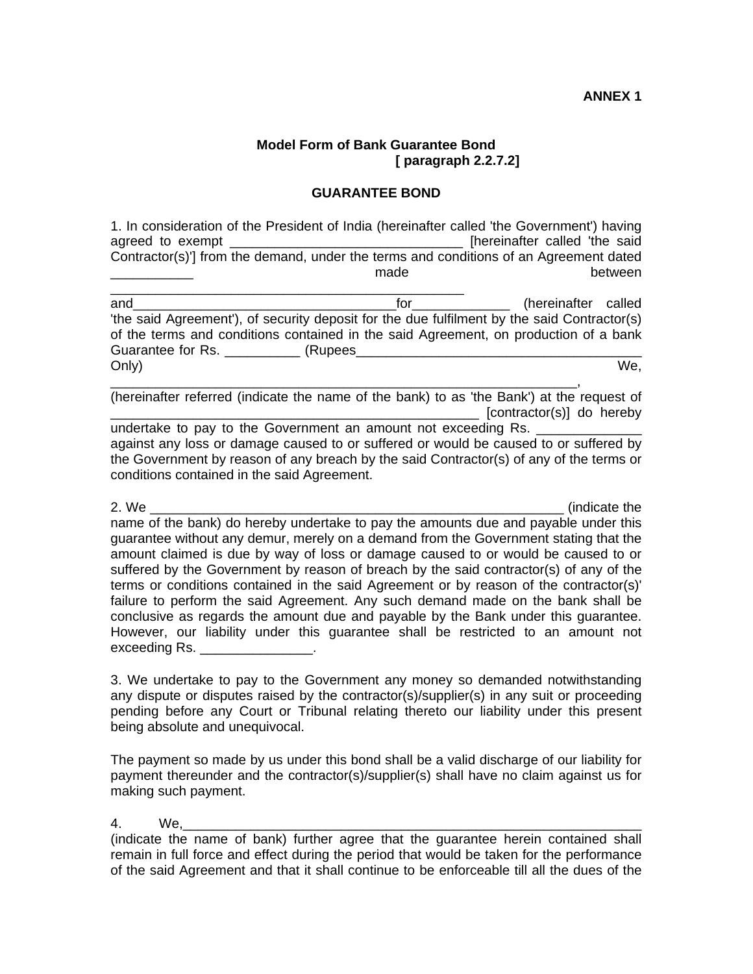## **Model Form of Bank Guarantee Bond [ paragraph 2.2.7.2]**

## **GUARANTEE BOND**

1. In consideration of the President of India (hereinafter called 'the Government') having agreed to exempt \_\_\_\_\_\_\_\_\_\_\_\_\_\_\_\_\_\_\_\_\_\_\_\_\_\_\_\_\_\_\_ [hereinafter called 'the said Contractor(s)'] from the demand, under the terms and conditions of an Agreement dated \_\_\_\_\_\_\_\_\_\_\_ made between

\_\_\_\_\_\_\_\_\_\_\_\_\_\_\_\_\_\_\_\_\_\_\_\_\_\_\_\_\_\_\_\_\_\_\_\_\_\_\_\_\_\_\_\_\_\_\_ and and the contract of the contract of the called the called the called the called 'the said Agreement'), of security deposit for the due fulfilment by the said Contractor(s) of the terms and conditions contained in the said Agreement, on production of a bank Guarantee for Rs. \_\_\_\_\_\_\_\_\_\_ (Rupees\_\_\_\_\_\_\_\_\_\_\_\_\_\_\_\_\_\_\_\_\_\_\_\_\_\_\_\_\_\_\_\_\_\_\_\_\_\_ Only) We,

\_\_\_\_\_\_\_\_\_\_\_\_\_\_\_\_\_\_\_\_\_\_\_\_\_\_\_\_\_\_\_\_\_\_\_\_\_\_\_\_\_\_\_\_\_\_\_\_\_\_\_\_\_\_\_\_\_\_\_\_\_\_, (hereinafter referred (indicate the name of the bank) to as 'the Bank') at the request of [contractor(s)] do hereby

undertake to pay to the Government an amount not exceeding Rs. against any loss or damage caused to or suffered or would be caused to or suffered by the Government by reason of any breach by the said Contractor(s) of any of the terms or conditions contained in the said Agreement.

2. We example the set of the set of the set of the set of the set of the set of the set of the set of the set of the set of the set of the set of the set of the set of the set of the set of the set of the set of the set of name of the bank) do hereby undertake to pay the amounts due and payable under this guarantee without any demur, merely on a demand from the Government stating that the amount claimed is due by way of loss or damage caused to or would be caused to or suffered by the Government by reason of breach by the said contractor(s) of any of the terms or conditions contained in the said Agreement or by reason of the contractor(s)' failure to perform the said Agreement. Any such demand made on the bank shall be conclusive as regards the amount due and payable by the Bank under this guarantee. However, our liability under this guarantee shall be restricted to an amount not exceeding Rs. **Exceeding Rs.** 

3. We undertake to pay to the Government any money so demanded notwithstanding any dispute or disputes raised by the contractor(s)/supplier(s) in any suit or proceeding pending before any Court or Tribunal relating thereto our liability under this present being absolute and unequivocal.

The payment so made by us under this bond shall be a valid discharge of our liability for payment thereunder and the contractor(s)/supplier(s) shall have no claim against us for making such payment.

## 4. We,\_\_\_\_\_\_\_\_\_\_\_\_\_\_\_\_\_\_\_\_\_\_\_\_\_\_\_\_\_\_\_\_\_\_\_\_\_\_\_\_\_\_\_\_\_\_\_\_\_\_\_\_\_\_\_\_\_\_\_\_\_

(indicate the name of bank) further agree that the guarantee herein contained shall remain in full force and effect during the period that would be taken for the performance of the said Agreement and that it shall continue to be enforceable till all the dues of the